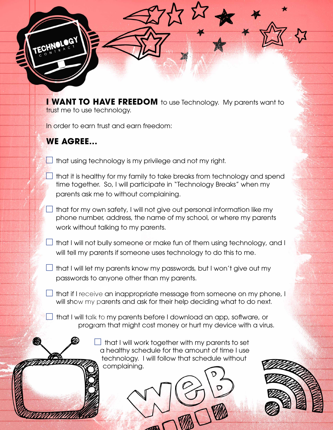**I WANT TO HAVE FREEDOM** to use Technology. My parents want to trust me to use technology.

In order to earn trust and earn freedom:

## **WE AGREE...**

- $\Box$  that using technology is my privilege and not my right.
	- that it is healthy for my family to take breaks from technology and spend time together. So, I will participate in "Technology Breaks" when my parents ask me to without complaining.
- $\Box$  that for my own safety, I will not give out personal information like my phone number, address, the name of my school, or where my parents work without talking to my parents.
- that I will not bully someone or make fun of them using technology, and I will tell my parents if someone uses technology to do this to me.
- $\Box$  that I will let my parents know my passwords, but I won't give out my passwords to anyone other than my parents.
- $\Box$  that if I receive an inappropriate message from someone on my phone, I will show my parents and ask for their help deciding what to do next.
	- $\perp$  that I will talk to my parents before I download an app, software, or program that might cost money or hurt my device with a virus.

 that I will work together with my parents to set a healthy schedule for the amount of time I use technology. I will follow that schedule without complaining.

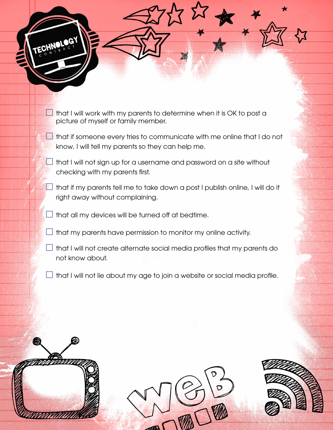- $\Box$  that I will work with my parents to determine when it is OK to post a picture of myself or family member.
- $\Box$  that if someone every tries to communicate with me online that I do not know, I will tell my parents so they can help me.
- that I will not sign up for a username and password on a site without checking with my parents first.
	- that if my parents tell me to take down a post I publish online, I will do it right away without complaining.
- $\Box$  that all my devices will be turned off at bedtime.
- $\Box$  that my parents have permission to monitor my online activity.
- $\Box$  that I will not create alternate social media profiles that my parents do not know about.
- $\Box$  that I will not lie about my age to join a website or social media profile.